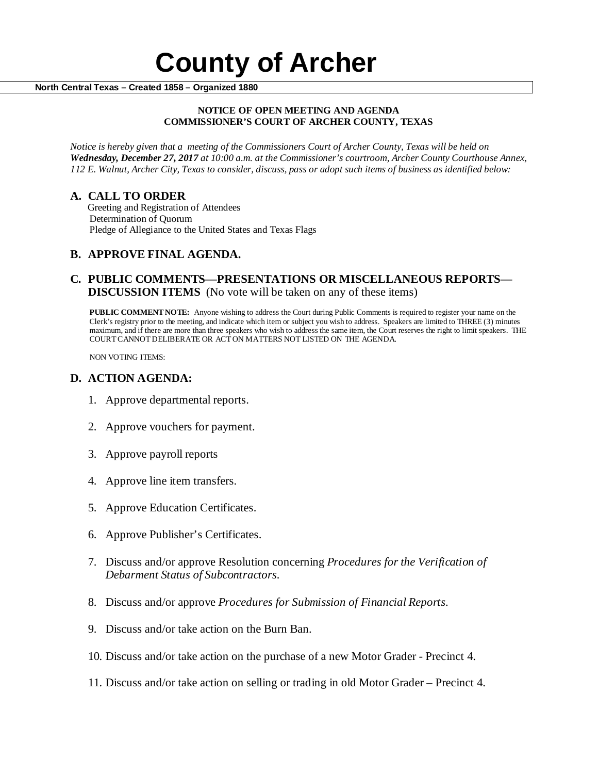#### **NOTICE OF OPEN MEETING AND AGENDA COMMISSIONER'S COURT OF ARCHER COUNTY, TEXAS**

*Notice is hereby given that a meeting of the Commissioners Court of Archer County, Texas will be held on Wednesday, December 27, 2017 at 10:00 a.m. at the Commissioner's courtroom, Archer County Courthouse Annex, 112 E. Walnut, Archer City, Texas to consider, discuss, pass or adopt such items of business as identified below:*

**A. CALL TO ORDER** Greeting and Registration of Attendees Determination of Quorum Pledge of Allegiance to the United States and Texas Flags

# **B. APPROVE FINAL AGENDA.**

# **C. PUBLIC COMMENTS—PRESENTATIONS OR MISCELLANEOUS REPORTS— DISCUSSION ITEMS** (No vote will be taken on any of these items)

**PUBLIC COMMENT NOTE:** Anyone wishing to address the Court during Public Comments is required to register your name on the Clerk's registry prior to the meeting, and indicate which item or subject you wish to address. Speakers are limited to THREE (3) minutes maximum, and if there are more than three speakers who wish to address the same item, the Court reserves the right to limit speakers. THE COURT CANNOT DELIBERATE OR ACT ON MATTERS NOT LISTED ON THE AGENDA.

NON VOTING ITEMS:

### **D. ACTION AGENDA:**

- 1. Approve departmental reports.
- 2. Approve vouchers for payment.
- 3. Approve payroll reports
- 4. Approve line item transfers.
- 5. Approve Education Certificates.
- 6. Approve Publisher's Certificates.
- 7. Discuss and/or approve Resolution concerning *Procedures for the Verification of Debarment Status of Subcontractors.*
- 8. Discuss and/or approve *Procedures for Submission of Financial Reports.*
- 9. Discuss and/or take action on the Burn Ban.
- 10. Discuss and/or take action on the purchase of a new Motor Grader Precinct 4.
- 11. Discuss and/or take action on selling or trading in old Motor Grader Precinct 4.